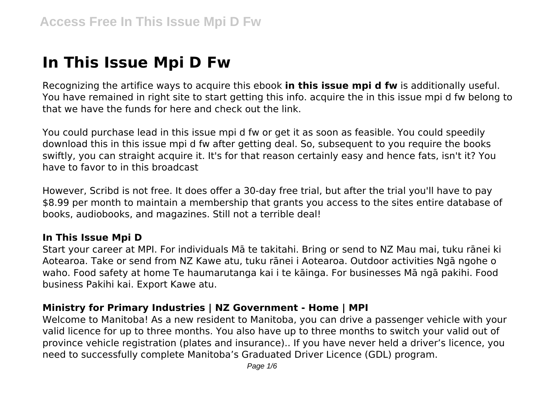# **In This Issue Mpi D Fw**

Recognizing the artifice ways to acquire this ebook **in this issue mpi d fw** is additionally useful. You have remained in right site to start getting this info. acquire the in this issue mpi d fw belong to that we have the funds for here and check out the link.

You could purchase lead in this issue mpi d fw or get it as soon as feasible. You could speedily download this in this issue mpi d fw after getting deal. So, subsequent to you require the books swiftly, you can straight acquire it. It's for that reason certainly easy and hence fats, isn't it? You have to favor to in this broadcast

However, Scribd is not free. It does offer a 30-day free trial, but after the trial you'll have to pay \$8.99 per month to maintain a membership that grants you access to the sites entire database of books, audiobooks, and magazines. Still not a terrible deal!

#### **In This Issue Mpi D**

Start your career at MPI. For individuals Mā te takitahi. Bring or send to NZ Mau mai, tuku rānei ki Aotearoa. Take or send from NZ Kawe atu, tuku rānei i Aotearoa. Outdoor activities Ngā ngohe o waho. Food safety at home Te haumarutanga kai i te kāinga. For businesses Mā ngā pakihi. Food business Pakihi kai. Export Kawe atu.

#### **Ministry for Primary Industries | NZ Government - Home | MPI**

Welcome to Manitoba! As a new resident to Manitoba, you can drive a passenger vehicle with your valid licence for up to three months. You also have up to three months to switch your valid out of province vehicle registration (plates and insurance).. If you have never held a driver's licence, you need to successfully complete Manitoba's Graduated Driver Licence (GDL) program.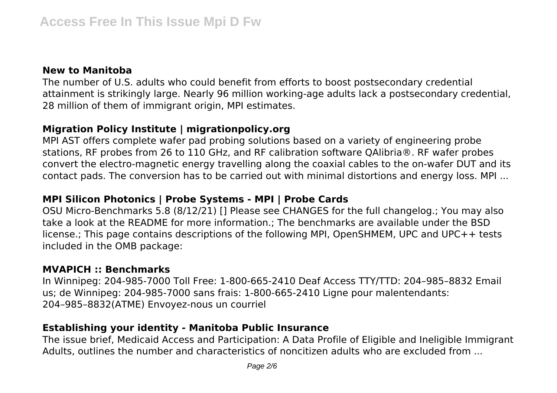#### **New to Manitoba**

The number of U.S. adults who could benefit from efforts to boost postsecondary credential attainment is strikingly large. Nearly 96 million working-age adults lack a postsecondary credential, 28 million of them of immigrant origin, MPI estimates.

#### **Migration Policy Institute | migrationpolicy.org**

MPI AST offers complete wafer pad probing solutions based on a variety of engineering probe stations, RF probes from 26 to 110 GHz, and RF calibration software QAlibria®. RF wafer probes convert the electro-magnetic energy travelling along the coaxial cables to the on-wafer DUT and its contact pads. The conversion has to be carried out with minimal distortions and energy loss. MPI ...

# **MPI Silicon Photonics | Probe Systems - MPI | Probe Cards**

OSU Micro-Benchmarks 5.8 (8/12/21) [] Please see CHANGES for the full changelog.; You may also take a look at the README for more information.; The benchmarks are available under the BSD license.; This page contains descriptions of the following MPI, OpenSHMEM, UPC and UPC++ tests included in the OMB package:

#### **MVAPICH :: Benchmarks**

In Winnipeg: 204-985-7000 Toll Free: 1-800-665-2410 Deaf Access TTY/TTD: 204–985–8832 Email us; de Winnipeg: 204-985-7000 sans frais: 1-800-665-2410 Ligne pour malentendants: 204–985–8832(ATME) Envoyez-nous un courriel

# **Establishing your identity - Manitoba Public Insurance**

The issue brief, Medicaid Access and Participation: A Data Profile of Eligible and Ineligible Immigrant Adults, outlines the number and characteristics of noncitizen adults who are excluded from ...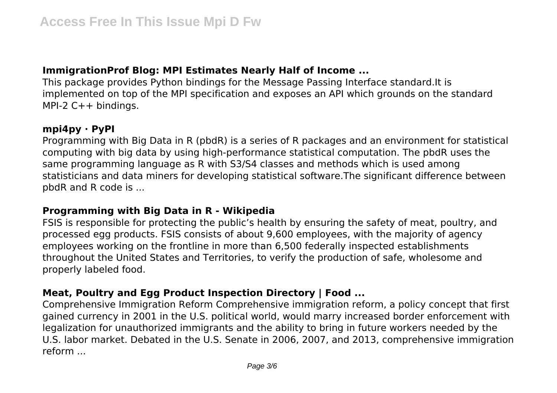# **ImmigrationProf Blog: MPI Estimates Nearly Half of Income ...**

This package provides Python bindings for the Message Passing Interface standard.It is implemented on top of the MPI specification and exposes an API which grounds on the standard MPI-2 C++ bindings.

#### **mpi4py · PyPI**

Programming with Big Data in R (pbdR) is a series of R packages and an environment for statistical computing with big data by using high-performance statistical computation. The pbdR uses the same programming language as R with S3/S4 classes and methods which is used among statisticians and data miners for developing statistical software.The significant difference between pbdR and R code is ...

# **Programming with Big Data in R - Wikipedia**

FSIS is responsible for protecting the public's health by ensuring the safety of meat, poultry, and processed egg products. FSIS consists of about 9,600 employees, with the majority of agency employees working on the frontline in more than 6,500 federally inspected establishments throughout the United States and Territories, to verify the production of safe, wholesome and properly labeled food.

# **Meat, Poultry and Egg Product Inspection Directory | Food ...**

Comprehensive Immigration Reform Comprehensive immigration reform, a policy concept that first gained currency in 2001 in the U.S. political world, would marry increased border enforcement with legalization for unauthorized immigrants and the ability to bring in future workers needed by the U.S. labor market. Debated in the U.S. Senate in 2006, 2007, and 2013, comprehensive immigration reform ...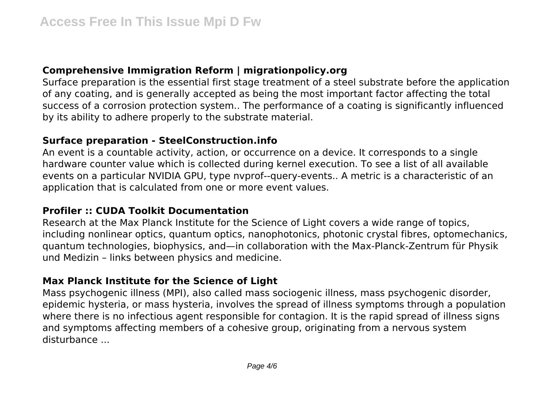# **Comprehensive Immigration Reform | migrationpolicy.org**

Surface preparation is the essential first stage treatment of a steel substrate before the application of any coating, and is generally accepted as being the most important factor affecting the total success of a corrosion protection system.. The performance of a coating is significantly influenced by its ability to adhere properly to the substrate material.

#### **Surface preparation - SteelConstruction.info**

An event is a countable activity, action, or occurrence on a device. It corresponds to a single hardware counter value which is collected during kernel execution. To see a list of all available events on a particular NVIDIA GPU, type nvprof--query-events.. A metric is a characteristic of an application that is calculated from one or more event values.

#### **Profiler :: CUDA Toolkit Documentation**

Research at the Max Planck Institute for the Science of Light covers a wide range of topics, including nonlinear optics, quantum optics, nanophotonics, photonic crystal fibres, optomechanics, quantum technologies, biophysics, and—in collaboration with the Max-Planck-Zentrum für Physik und Medizin – links between physics and medicine.

# **Max Planck Institute for the Science of Light**

Mass psychogenic illness (MPI), also called mass sociogenic illness, mass psychogenic disorder, epidemic hysteria, or mass hysteria, involves the spread of illness symptoms through a population where there is no infectious agent responsible for contagion. It is the rapid spread of illness signs and symptoms affecting members of a cohesive group, originating from a nervous system disturbance ...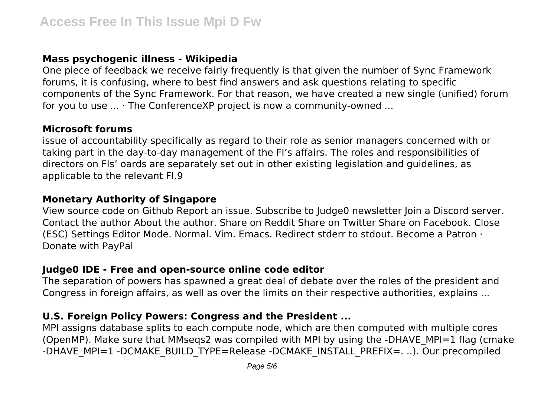# **Mass psychogenic illness - Wikipedia**

One piece of feedback we receive fairly frequently is that given the number of Sync Framework forums, it is confusing, where to best find answers and ask questions relating to specific components of the Sync Framework. For that reason, we have created a new single (unified) forum for you to use ... · The ConferenceXP project is now a community-owned ...

#### **Microsoft forums**

issue of accountability specifically as regard to their role as senior managers concerned with or taking part in the day-to-day management of the FI's affairs. The roles and responsibilities of directors on FIs' oards are separately set out in other existing legislation and guidelines, as applicable to the relevant FI.9

#### **Monetary Authority of Singapore**

View source code on Github Report an issue. Subscribe to Judge0 newsletter Join a Discord server. Contact the author About the author. Share on Reddit Share on Twitter Share on Facebook. Close (ESC) Settings Editor Mode. Normal. Vim. Emacs. Redirect stderr to stdout. Become a Patron · Donate with PayPal

# **Judge0 IDE - Free and open-source online code editor**

The separation of powers has spawned a great deal of debate over the roles of the president and Congress in foreign affairs, as well as over the limits on their respective authorities, explains ...

# **U.S. Foreign Policy Powers: Congress and the President ...**

MPI assigns database splits to each compute node, which are then computed with multiple cores (OpenMP). Make sure that MMseqs2 was compiled with MPI by using the -DHAVE\_MPI=1 flag (cmake -DHAVE\_MPI=1 -DCMAKE\_BUILD\_TYPE=Release -DCMAKE\_INSTALL\_PREFIX=. ..). Our precompiled